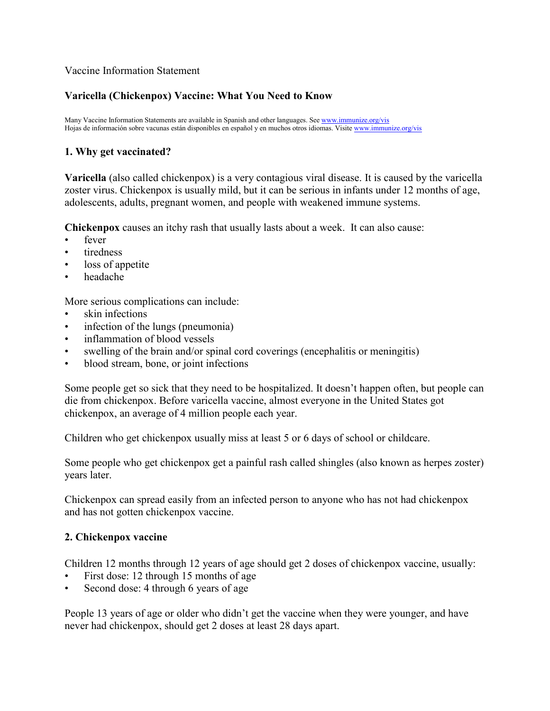### Vaccine Information Statement

# **Varicella (Chickenpox) Vaccine: What You Need to Know**

Many Vaccine Information Statements are available in Spanish and other languages. See www.immunize.org/vis Hojas de información sobre vacunas están disponibles en español y en muchos otros idiomas. Visite www.immunize.org/vis

## **1. Why get vaccinated?**

**Varicella** (also called chickenpox) is a very contagious viral disease. It is caused by the varicella zoster virus. Chickenpox is usually mild, but it can be serious in infants under 12 months of age, adolescents, adults, pregnant women, and people with weakened immune systems.

**Chickenpox** causes an itchy rash that usually lasts about a week. It can also cause:

- fever
- tiredness
- loss of appetite
- headache

More serious complications can include:

- skin infections
- infection of the lungs (pneumonia)
- inflammation of blood vessels
- swelling of the brain and/or spinal cord coverings (encephalitis or meningitis)
- blood stream, bone, or joint infections

Some people get so sick that they need to be hospitalized. It doesn't happen often, but people can die from chickenpox. Before varicella vaccine, almost everyone in the United States got chickenpox, an average of 4 million people each year.

Children who get chickenpox usually miss at least 5 or 6 days of school or childcare.

Some people who get chickenpox get a painful rash called shingles (also known as herpes zoster) years later.

Chickenpox can spread easily from an infected person to anyone who has not had chickenpox and has not gotten chickenpox vaccine.

### **2. Chickenpox vaccine**

Children 12 months through 12 years of age should get 2 doses of chickenpox vaccine, usually:

- First dose: 12 through 15 months of age
- Second dose: 4 through 6 years of age

People 13 years of age or older who didn't get the vaccine when they were younger, and have never had chickenpox, should get 2 doses at least 28 days apart.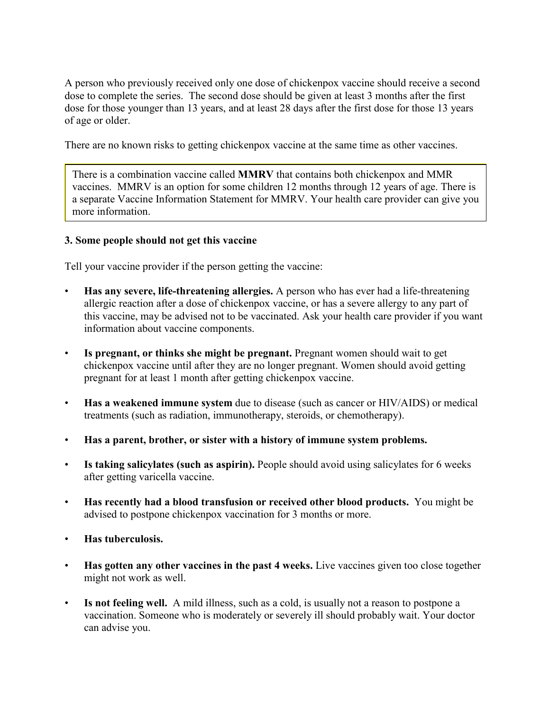A person who previously received only one dose of chickenpox vaccine should receive a second dose to complete the series. The second dose should be given at least 3 months after the first dose for those younger than 13 years, and at least 28 days after the first dose for those 13 years of age or older.

There are no known risks to getting chickenpox vaccine at the same time as other vaccines.

There is a combination vaccine called **MMRV** that contains both chickenpox and MMR vaccines. MMRV is an option for some children 12 months through 12 years of age. There is a separate Vaccine Information Statement for MMRV. Your health care provider can give you more information.

### **3. Some people should not get this vaccine**

Tell your vaccine provider if the person getting the vaccine:

- **Has any severe, life-threatening allergies.** A person who has ever had a life-threatening allergic reaction after a dose of chickenpox vaccine, or has a severe allergy to any part of this vaccine, may be advised not to be vaccinated. Ask your health care provider if you want information about vaccine components.
- Is pregnant, or thinks she might be pregnant. Pregnant women should wait to get chickenpox vaccine until after they are no longer pregnant. Women should avoid getting pregnant for at least 1 month after getting chickenpox vaccine.
- **Has a weakened immune system** due to disease (such as cancer or HIV/AIDS) or medical treatments (such as radiation, immunotherapy, steroids, or chemotherapy).
- **Has a parent, brother, or sister with a history of immune system problems.**
- **Is taking salicylates (such as aspirin).** People should avoid using salicylates for 6 weeks after getting varicella vaccine.
- **Has recently had a blood transfusion or received other blood products.** You might be advised to postpone chickenpox vaccination for 3 months or more.
- **Has tuberculosis.**
- **Has gotten any other vaccines in the past 4 weeks.** Live vaccines given too close together might not work as well.
- **Is not feeling well.** A mild illness, such as a cold, is usually not a reason to postpone a vaccination. Someone who is moderately or severely ill should probably wait. Your doctor can advise you.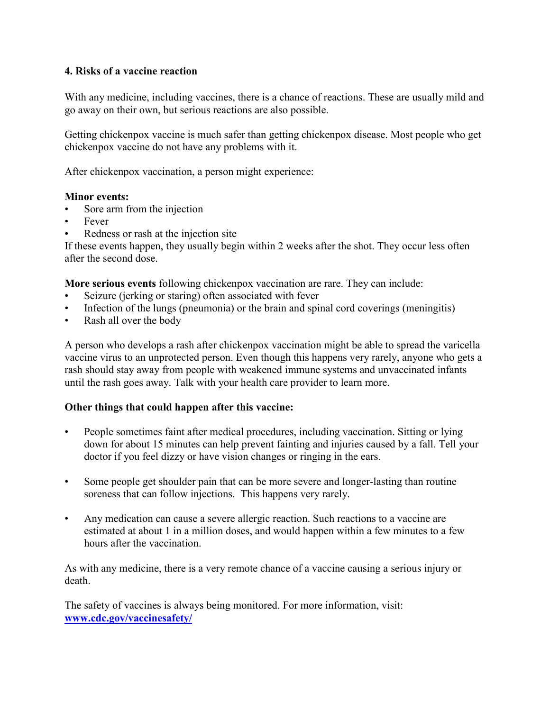# **4. Risks of a vaccine reaction**

With any medicine, including vaccines, there is a chance of reactions. These are usually mild and go away on their own, but serious reactions are also possible.

Getting chickenpox vaccine is much safer than getting chickenpox disease. Most people who get chickenpox vaccine do not have any problems with it.

After chickenpox vaccination, a person might experience:

### **Minor events:**

- Sore arm from the injection
- **Fever**
- Redness or rash at the injection site

If these events happen, they usually begin within 2 weeks after the shot. They occur less often after the second dose.

**More serious events** following chickenpox vaccination are rare. They can include:

- Seizure (jerking or staring) often associated with fever
- Infection of the lungs (pneumonia) or the brain and spinal cord coverings (meningitis)
- Rash all over the body

A person who develops a rash after chickenpox vaccination might be able to spread the varicella vaccine virus to an unprotected person. Even though this happens very rarely, anyone who gets a rash should stay away from people with weakened immune systems and unvaccinated infants until the rash goes away. Talk with your health care provider to learn more.

# **Other things that could happen after this vaccine:**

- People sometimes faint after medical procedures, including vaccination. Sitting or lying down for about 15 minutes can help prevent fainting and injuries caused by a fall. Tell your doctor if you feel dizzy or have vision changes or ringing in the ears.
- Some people get shoulder pain that can be more severe and longer-lasting than routine soreness that can follow injections. This happens very rarely.
- Any medication can cause a severe allergic reaction. Such reactions to a vaccine are estimated at about 1 in a million doses, and would happen within a few minutes to a few hours after the vaccination.

As with any medicine, there is a very remote chance of a vaccine causing a serious injury or death.

The safety of vaccines is always being monitored. For more information, visit: **www.cdc.gov/vaccinesafety/**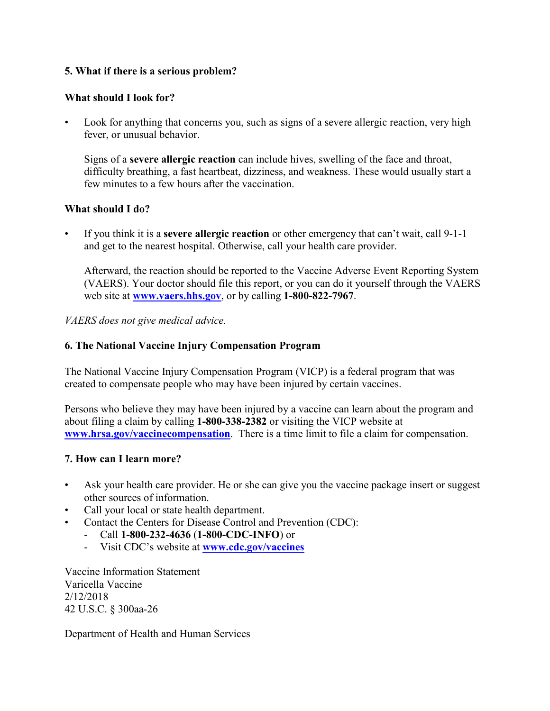# **5. What if there is a serious problem?**

## **What should I look for?**

Look for anything that concerns you, such as signs of a severe allergic reaction, very high fever, or unusual behavior.

Signs of a **severe allergic reaction** can include hives, swelling of the face and throat, difficulty breathing, a fast heartbeat, dizziness, and weakness. These would usually start a few minutes to a few hours after the vaccination.

### **What should I do?**

• If you think it is a **severe allergic reaction** or other emergency that can't wait, call 9-1-1 and get to the nearest hospital. Otherwise, call your health care provider.

Afterward, the reaction should be reported to the Vaccine Adverse Event Reporting System (VAERS). Your doctor should file this report, or you can do it yourself through the VAERS web site at **www.vaers.hhs.gov**, or by calling **1-800-822-7967**.

*VAERS does not give medical advice.*

### **6. The National Vaccine Injury Compensation Program**

The National Vaccine Injury Compensation Program (VICP) is a federal program that was created to compensate people who may have been injured by certain vaccines.

Persons who believe they may have been injured by a vaccine can learn about the program and about filing a claim by calling **1-800-338-2382** or visiting the VICP website at **www.hrsa.gov/vaccinecompensation**. There is a time limit to file a claim for compensation.

### **7. How can I learn more?**

- Ask your health care provider. He or she can give you the vaccine package insert or suggest other sources of information.
- Call your local or state health department.
- Contact the Centers for Disease Control and Prevention (CDC):
	- Call **1-800-232-4636** (**1-800-CDC-INFO**) or
	- Visit CDC's website at **www.cdc.gov/vaccines**

Vaccine Information Statement Varicella Vaccine 2/12/2018 42 U.S.C. § 300aa-26

Department of Health and Human Services